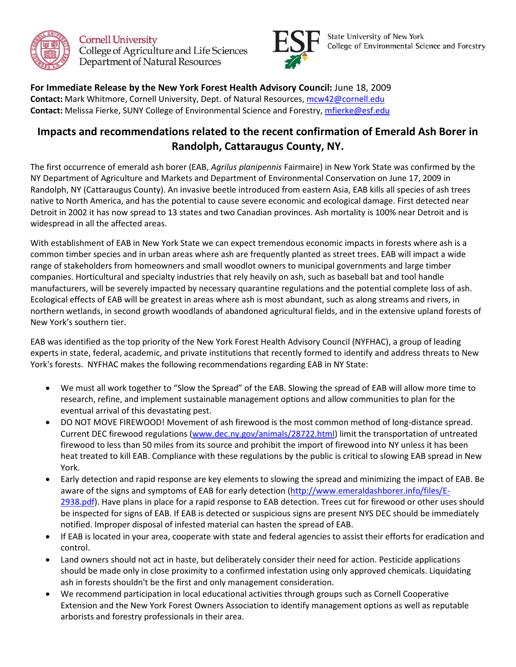

**Cornell University** College of Agriculture and Life Sciences Department of Natural Resources



**State University of New York** College of Environmental Science and Forestry

**For Immediate Release by the New York Forest Health Advisory Council:** June 18, 2009 **Contact:** Mark Whitmore, Cornell University, Dept. of Natural Resources, mcw42@cornell.edu **Contact:** Melissa Fierke, SUNY College of Environmental Science and Forestry, mfierke@esf.edu

## **Impacts and recommendations related to the recent confirmation of Emerald Ash Borer in Randolph, Cattaraugus County, NY.**

The first occurrence of emerald ash borer (EAB, *Agrilus planipennis* Fairmaire) in New York State was confirmed by the NY Department of Agriculture and Markets and Department of Environmental Conservation on June 17, 2009 in Randolph, NY (Cattaraugus County). An invasive beetle introduced from eastern Asia, EAB kills all species of ash trees native to North America, and has the potential to cause severe economic and ecological damage. First detected near Detroit in 2002 it has now spread to 13 states and two Canadian provinces. Ash mortality is 100% near Detroit and is widespread in all the affected areas.

With establishment of EAB in New York State we can expect tremendous economic impacts in forests where ash is a common timber species and in urban areas where ash are frequently planted as street trees. EAB will impact a wide range of stakeholders from homeowners and small woodlot owners to municipal governments and large timber companies. Horticultural and specialty industries that rely heavily on ash, such as baseball bat and tool handle manufacturers, will be severely impacted by necessary quarantine regulations and the potential complete loss of ash. Ecological effects of EAB will be greatest in areas where ash is most abundant, such as along streams and rivers, in northern wetlands, in second growth woodlands of abandoned agricultural fields, and in the extensive upland forests of New York's southern tier.

EAB was identified as the top priority of the New York Forest Health Advisory Council (NYFHAC), a group of leading experts in state, federal, academic, and private institutions that recently formed to identify and address threats to New York's forests. NYFHAC makes the following recommendations regarding EAB in NY State:

- We must all work together to "Slow the Spread" of the EAB. Slowing the spread of EAB will allow more time to research, refine, and implement sustainable management options and allow communities to plan for the eventual arrival of this devastating pest.
- DO NOT MOVE FIREWOOD! Movement of ash firewood is the most common method of long-distance spread. Current DEC firewood regulations (www.dec.ny.gov/animals/28722.html) limit the transportation of untreated firewood to less than 50 miles from its source and prohibit the import of firewood into NY unless it has been heat treated to kill EAB. Compliance with these regulations by the public is critical to slowing EAB spread in New York.
- Early detection and rapid response are key elements to slowing the spread and minimizing the impact of EAB. Be aware of the signs and symptoms of EAB for early detection (http://www.emeraldashborer.info/files/E-2938.pdf). Have plans in place for a rapid response to EAB detection. Trees cut for firewood or other uses should be inspected for signs of EAB. If EAB is detected or suspicious signs are present NYS DEC should be immediately notified. Improper disposal of infested material can hasten the spread of EAB.
- If EAB is located in your area, cooperate with state and federal agencies to assist their efforts for eradication and control.
- Land owners should not act in haste, but deliberately consider their need for action. Pesticide applications should be made only in close proximity to a confirmed infestation using only approved chemicals. Liquidating ash in forests shouldn't be the first and only management consideration.
- We recommend participation in local educational activities through groups such as Cornell Cooperative Extension and the New York Forest Owners Association to identify management options as well as reputable arborists and forestry professionals in their area.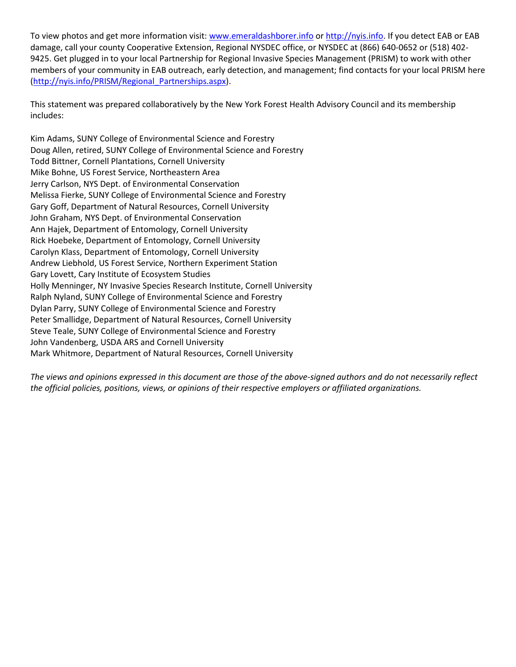To view photos and get more information visit: www.emeraldashborer.info or http://nyis.info. If you detect EAB or EAB damage, call your county Cooperative Extension, Regional NYSDEC office, or NYSDEC at (866) 640-0652 or (518) 402- 9425. Get plugged in to your local Partnership for Regional Invasive Species Management (PRISM) to work with other members of your community in EAB outreach, early detection, and management; find contacts for your local PRISM here (http://nyis.info/PRISM/Regional\_Partnerships.aspx).

This statement was prepared collaboratively by the New York Forest Health Advisory Council and its membership includes:

Kim Adams, SUNY College of Environmental Science and Forestry Doug Allen, retired, SUNY College of Environmental Science and Forestry Todd Bittner, Cornell Plantations, Cornell University Mike Bohne, US Forest Service, Northeastern Area Jerry Carlson, NYS Dept. of Environmental Conservation Melissa Fierke, SUNY College of Environmental Science and Forestry Gary Goff, Department of Natural Resources, Cornell University John Graham, NYS Dept. of Environmental Conservation Ann Hajek, Department of Entomology, Cornell University Rick Hoebeke, Department of Entomology, Cornell University Carolyn Klass, Department of Entomology, Cornell University Andrew Liebhold, US Forest Service, Northern Experiment Station Gary Lovett, Cary Institute of Ecosystem Studies Holly Menninger, NY Invasive Species Research Institute, Cornell University Ralph Nyland, SUNY College of Environmental Science and Forestry Dylan Parry, SUNY College of Environmental Science and Forestry Peter Smallidge, Department of Natural Resources, Cornell University Steve Teale, SUNY College of Environmental Science and Forestry John Vandenberg, USDA ARS and Cornell University Mark Whitmore, Department of Natural Resources, Cornell University

*The views and opinions expressed in this document are those of the above-signed authors and do not necessarily reflect the official policies, positions, views, or opinions of their respective employers or affiliated organizations.*